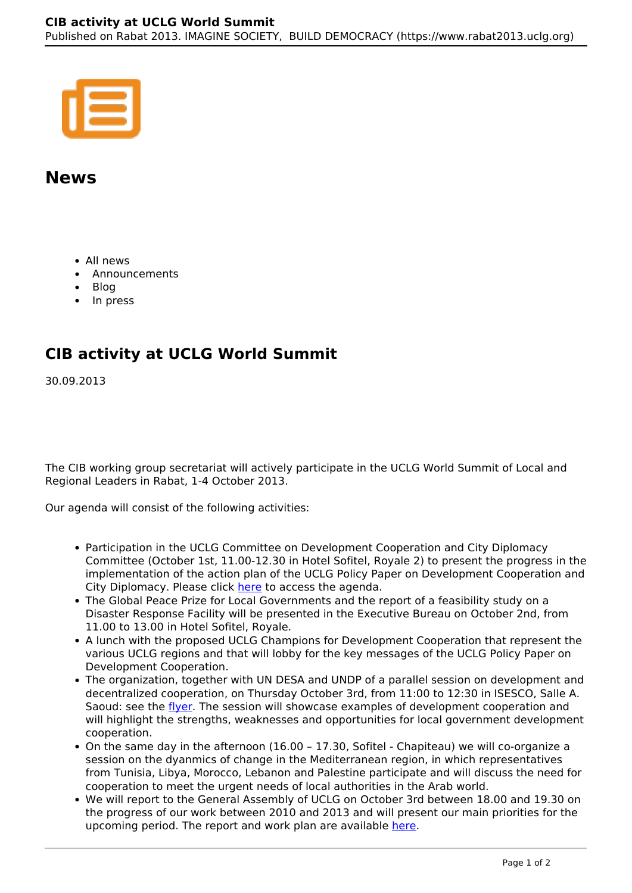

## **News**

- All news
- Announcements
- Blog
- In press

## **CIB activity at UCLG World Summit**

30.09.2013

The CIB working group secretariat will actively participate in the UCLG World Summit of Local and Regional Leaders in Rabat, 1-4 October 2013.

Our agenda will consist of the following activities:

- Participation in the UCLG Committee on Development Cooperation and City Diplomacy Committee (October 1st, 11.00-12.30 in Hotel Sofitel, Royale 2) to present the progress in the implementation of the action plan of the UCLG Policy Paper on Development Cooperation and City Diplomacy. Please click here to access the agenda.
- The Global Peace Prize for Local Governments and the report of a feasibility study on a Disaster Response Facility will be presented in the Executive Bureau on October 2nd, from 11.00 to 13.00 in Hotel Sofitel, Royale.
- A lunch with the proposed UCLG Champions for Development Cooperation that represent the various UCLG regions and that will lobby for the key messages of the UCLG Policy Paper on Development Cooperation.
- The organization, together with UN DESA and UNDP of a parallel session on development and decentralized cooperation, on Thursday October 3rd, from 11:00 to 12:30 in ISESCO, Salle A. Saoud: see the *flyer*. The session will showcase examples of development cooperation and will highlight the strengths, weaknesses and opportunities for local government development cooperation.
- On the same day in the afternoon (16.00 17.30, Sofitel Chapiteau) we will co-organize a session on the dyanmics of change in the Mediterranean region, in which representatives from Tunisia, Libya, Morocco, Lebanon and Palestine participate and will discuss the need for cooperation to meet the urgent needs of local authorities in the Arab world.
- We will report to the General Assembly of UCLG on October 3rd between 18.00 and 19.30 on the progress of our work between 2010 and 2013 and will present our main priorities for the upcoming period. The report and work plan are available here.